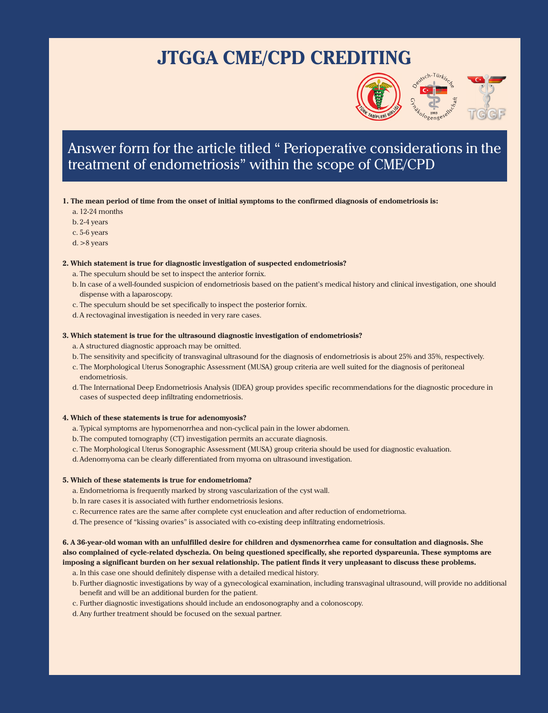## **JTGGA CME/CPD CREDITING**



### Answer form for the article titled " Perioperative considerations in the treatment of endometriosis" within the scope of CME/CPD

#### **1. The mean period of time from the onset of initial symptoms to the confirmed diagnosis of endometriosis is:**

- a. 12-24 months
- b. 2-4 years
- c. 5-6 years
- d. >8 years

#### **2. Which statement is true for diagnostic investigation of suspected endometriosis?**

- a. The speculum should be set to inspect the anterior fornix.
- b. In case of a well-founded suspicion of endometriosis based on the patient's medical history and clinical investigation, one should dispense with a laparoscopy.
- c. The speculum should be set specifically to inspect the posterior fornix.
- d.A rectovaginal investigation is needed in very rare cases.

#### **3. Which statement is true for the ultrasound diagnostic investigation of endometriosis?**

- a. A structured diagnostic approach may be omitted.
- b. The sensitivity and specificity of transvaginal ultrasound for the diagnosis of endometriosis is about 25% and 35%, respectively.
- c. The Morphological Uterus Sonographic Assessment (MUSA) group criteria are well suited for the diagnosis of peritoneal endometriosis.
- d. The International Deep Endometriosis Analysis (IDEA) group provides specific recommendations for the diagnostic procedure in cases of suspected deep infiltrating endometriosis.

#### **4. Which of these statements is true for adenomyosis?**

- a. Typical symptoms are hypomenorrhea and non-cyclical pain in the lower abdomen.
- b. The computed tomography (CT) investigation permits an accurate diagnosis.
- c. The Morphological Uterus Sonographic Assessment (MUSA) group criteria should be used for diagnostic evaluation.
- d.Adenomyoma can be clearly differentiated from myoma on ultrasound investigation.

#### **5. Which of these statements is true for endometrioma?**

- a. Endometrioma is frequently marked by strong vascularization of the cyst wall.
- b. In rare cases it is associated with further endometriosis lesions.
- c. Recurrence rates are the same after complete cyst enucleation and after reduction of endometrioma.
- d. The presence of "kissing ovaries" is associated with co-existing deep infiltrating endometriosis.

**6. A 36-year-old woman with an unfulfilled desire for children and dysmenorrhea came for consultation and diagnosis. She also complained of cycle-related dyschezia. On being questioned specifically, she reported dyspareunia. These symptoms are imposing a significant burden on her sexual relationship. The patient finds it very unpleasant to discuss these problems.**

- a. In this case one should definitely dispense with a detailed medical history.
- b. Further diagnostic investigations by way of a gynecological examination, including transvaginal ultrasound, will provide no additional benefit and will be an additional burden for the patient.
- c. Further diagnostic investigations should include an endosonography and a colonoscopy.
- d.Any further treatment should be focused on the sexual partner.